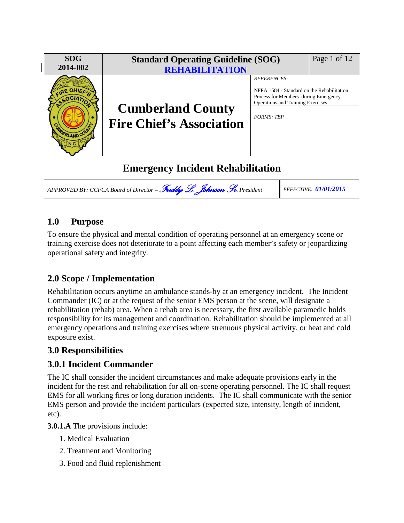

# **1.0 Purpose**

To ensure the physical and mental condition of operating personnel at an emergency scene or training exercise does not deteriorate to a point affecting each member's safety or jeopardizing operational safety and integrity.

# **2.0 Scope / Implementation**

Rehabilitation occurs anytime an ambulance stands-by at an emergency incident. The Incident Commander (IC) or at the request of the senior EMS person at the scene, will designate a rehabilitation (rehab) area. When a rehab area is necessary, the first available paramedic holds responsibility for its management and coordination. Rehabilitation should be implemented at all emergency operations and training exercises where strenuous physical activity, or heat and cold exposure exist.

## **3.0 Responsibilities**

## **3.0.1 Incident Commander**

The IC shall consider the incident circumstances and make adequate provisions early in the incident for the rest and rehabilitation for all on-scene operating personnel. The IC shall request EMS for all working fires or long duration incidents. The IC shall communicate with the senior EMS person and provide the incident particulars (expected size, intensity, length of incident, etc).

**3.0.1.A** The provisions include:

- 1. Medical Evaluation
- 2. Treatment and Monitoring
- 3. Food and fluid replenishment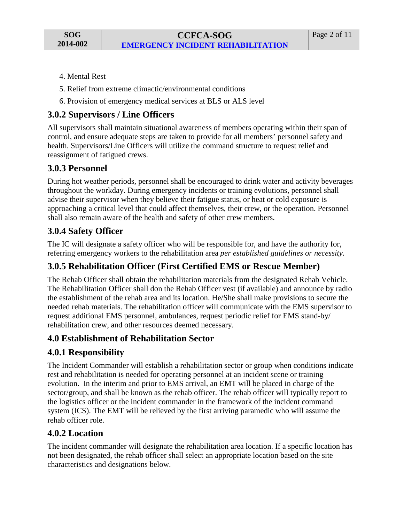**SOG 2014-002**

- 4. Mental Rest
- 5. Relief from extreme climactic/environmental conditions
- 6. Provision of emergency medical services at BLS or ALS level

## **3.0.2 Supervisors / Line Officers**

All supervisors shall maintain situational awareness of members operating within their span of control, and ensure adequate steps are taken to provide for all members' personnel safety and health. Supervisors/Line Officers will utilize the command structure to request relief and reassignment of fatigued crews.

## **3.0.3 Personnel**

During hot weather periods, personnel shall be encouraged to drink water and activity beverages throughout the workday. During emergency incidents or training evolutions, personnel shall advise their supervisor when they believe their fatigue status, or heat or cold exposure is approaching a critical level that could affect themselves, their crew, or the operation. Personnel shall also remain aware of the health and safety of other crew members.

### **3.0.4 Safety Officer**

The IC will designate a safety officer who will be responsible for, and have the authority for, referring emergency workers to the rehabilitation area *per established guidelines or necessity*.

## **3.0.5 Rehabilitation Officer (First Certified EMS or Rescue Member)**

The Rehab Officer shall obtain the rehabilitation materials from the designated Rehab Vehicle. The Rehabilitation Officer shall don the Rehab Officer vest (if available) and announce by radio the establishment of the rehab area and its location. He/She shall make provisions to secure the needed rehab materials. The rehabilitation officer will communicate with the EMS supervisor to request additional EMS personnel, ambulances, request periodic relief for EMS stand-by/ rehabilitation crew, and other resources deemed necessary.

#### **4.0 Establishment of Rehabilitation Sector**

## **4.0.1 Responsibility**

The Incident Commander will establish a rehabilitation sector or group when conditions indicate rest and rehabilitation is needed for operating personnel at an incident scene or training evolution. In the interim and prior to EMS arrival, an EMT will be placed in charge of the sector/group, and shall be known as the rehab officer. The rehab officer will typically report to the logistics officer or the incident commander in the framework of the incident command system (ICS). The EMT will be relieved by the first arriving paramedic who will assume the rehab officer role.

#### **4.0.2 Location**

The incident commander will designate the rehabilitation area location. If a specific location has not been designated, the rehab officer shall select an appropriate location based on the site characteristics and designations below.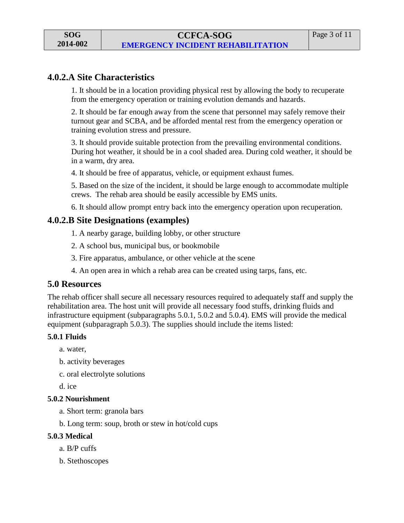### **4.0.2.A Site Characteristics**

1. It should be in a location providing physical rest by allowing the body to recuperate from the emergency operation or training evolution demands and hazards.

2. It should be far enough away from the scene that personnel may safely remove their turnout gear and SCBA, and be afforded mental rest from the emergency operation or training evolution stress and pressure.

3. It should provide suitable protection from the prevailing environmental conditions. During hot weather, it should be in a cool shaded area. During cold weather, it should be in a warm, dry area.

4. It should be free of apparatus, vehicle, or equipment exhaust fumes.

5. Based on the size of the incident, it should be large enough to accommodate multiple crews. The rehab area should be easily accessible by EMS units.

6. It should allow prompt entry back into the emergency operation upon recuperation.

#### **4.0.2.B Site Designations (examples)**

- 1. A nearby garage, building lobby, or other structure
- 2. A school bus, municipal bus, or bookmobile
- 3. Fire apparatus, ambulance, or other vehicle at the scene
- 4. An open area in which a rehab area can be created using tarps, fans, etc.

#### **5.0 Resources**

The rehab officer shall secure all necessary resources required to adequately staff and supply the rehabilitation area. The host unit will provide all necessary food stuffs, drinking fluids and infrastructure equipment (subparagraphs 5.0.1, 5.0.2 and 5.0.4). EMS will provide the medical equipment (subparagraph 5.0.3). The supplies should include the items listed:

#### **5.0.1 Fluids**

a. water,

- b. activity beverages
- c. oral electrolyte solutions

d. ice

#### **5.0.2 Nourishment**

- a. Short term: granola bars
- b. Long term: soup, broth or stew in hot/cold cups

#### **5.0.3 Medical**

- a. B/P cuffs
- b. Stethoscopes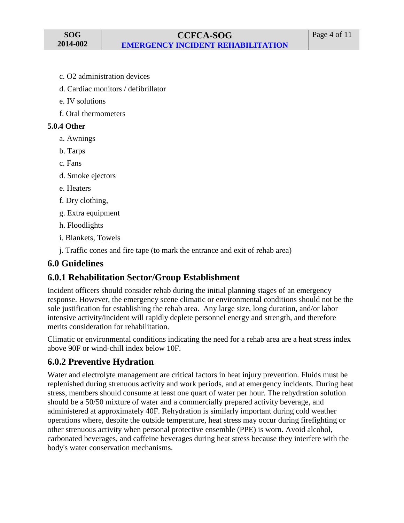- c. O2 administration devices
- d. Cardiac monitors / defibrillator
- e. IV solutions
- f. Oral thermometers

#### **5.0.4 Other**

- a. Awnings
- b. Tarps
- c. Fans
- d. Smoke ejectors
- e. Heaters
- f. Dry clothing,
- g. Extra equipment
- h. Floodlights
- i. Blankets, Towels
- j. Traffic cones and fire tape (to mark the entrance and exit of rehab area)

#### **6.0 Guidelines**

## **6.0.1 Rehabilitation Sector/Group Establishment**

Incident officers should consider rehab during the initial planning stages of an emergency response. However, the emergency scene climatic or environmental conditions should not be the sole justification for establishing the rehab area. Any large size, long duration, and/or labor intensive activity/incident will rapidly deplete personnel energy and strength, and therefore merits consideration for rehabilitation.

Climatic or environmental conditions indicating the need for a rehab area are a heat stress index above 90F or wind-chill index below 10F.

## **6.0.2 Preventive Hydration**

Water and electrolyte management are critical factors in heat injury prevention. Fluids must be replenished during strenuous activity and work periods, and at emergency incidents. During heat stress, members should consume at least one quart of water per hour. The rehydration solution should be a 50/50 mixture of water and a commercially prepared activity beverage, and administered at approximately 40F. Rehydration is similarly important during cold weather operations where, despite the outside temperature, heat stress may occur during firefighting or other strenuous activity when personal protective ensemble (PPE) is worn. Avoid alcohol, carbonated beverages, and caffeine beverages during heat stress because they interfere with the body's water conservation mechanisms.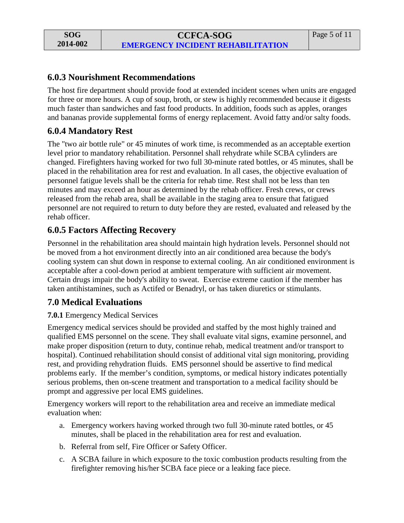### **6.0.3 Nourishment Recommendations**

The host fire department should provide food at extended incident scenes when units are engaged for three or more hours. A cup of soup, broth, or stew is highly recommended because it digests much faster than sandwiches and fast food products. In addition, foods such as apples, oranges and bananas provide supplemental forms of energy replacement. Avoid fatty and/or salty foods.

## **6.0.4 Mandatory Rest**

The "two air bottle rule" or 45 minutes of work time, is recommended as an acceptable exertion level prior to mandatory rehabilitation. Personnel shall rehydrate while SCBA cylinders are changed. Firefighters having worked for two full 30-minute rated bottles, or 45 minutes, shall be placed in the rehabilitation area for rest and evaluation. In all cases, the objective evaluation of personnel fatigue levels shall be the criteria for rehab time. Rest shall not be less than ten minutes and may exceed an hour as determined by the rehab officer. Fresh crews, or crews released from the rehab area, shall be available in the staging area to ensure that fatigued personnel are not required to return to duty before they are rested, evaluated and released by the rehab officer.

## **6.0.5 Factors Affecting Recovery**

Personnel in the rehabilitation area should maintain high hydration levels. Personnel should not be moved from a hot environment directly into an air conditioned area because the body's cooling system can shut down in response to external cooling. An air conditioned environment is acceptable after a cool-down period at ambient temperature with sufficient air movement. Certain drugs impair the body's ability to sweat. Exercise extreme caution if the member has taken antihistamines, such as Actifed or Benadryl, or has taken diuretics or stimulants.

## **7.0 Medical Evaluations**

#### **7.0.1** Emergency Medical Services

Emergency medical services should be provided and staffed by the most highly trained and qualified EMS personnel on the scene. They shall evaluate vital signs, examine personnel, and make proper disposition (return to duty, continue rehab, medical treatment and/or transport to hospital). Continued rehabilitation should consist of additional vital sign monitoring, providing rest, and providing rehydration fluids. EMS personnel should be assertive to find medical problems early. If the member's condition, symptoms, or medical history indicates potentially serious problems, then on-scene treatment and transportation to a medical facility should be prompt and aggressive per local EMS guidelines.

Emergency workers will report to the rehabilitation area and receive an immediate medical evaluation when:

- a. Emergency workers having worked through two full 30-minute rated bottles, or 45 minutes, shall be placed in the rehabilitation area for rest and evaluation.
- b. Referral from self, Fire Officer or Safety Officer.
- c. A SCBA failure in which exposure to the toxic combustion products resulting from the firefighter removing his/her SCBA face piece or a leaking face piece.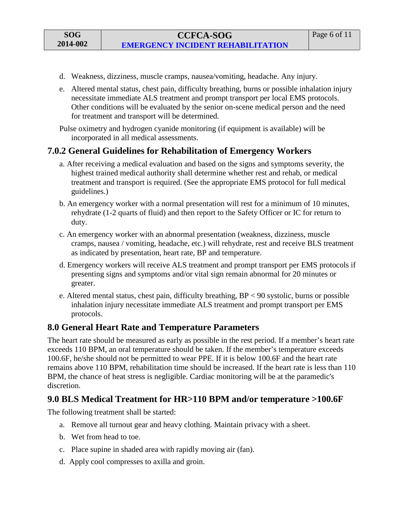- d. Weakness, dizziness, muscle cramps, nausea/vomiting, headache. Any injury.
- e. Altered mental status, chest pain, difficulty breathing, burns or possible inhalation injury necessitate immediate ALS treatment and prompt transport per local EMS protocols. Other conditions will be evaluated by the senior on-scene medical person and the need for treatment and transport will be determined.

Pulse oximetry and hydrogen cyanide monitoring (if equipment is available) will be incorporated in all medical assessments.

### **7.0.2 General Guidelines for Rehabilitation of Emergency Workers**

- a. After receiving a medical evaluation and based on the signs and symptoms severity, the highest trained medical authority shall determine whether rest and rehab, or medical treatment and transport is required. (See the appropriate EMS protocol for full medical guidelines.)
- b. An emergency worker with a normal presentation will rest for a minimum of 10 minutes, rehydrate (1-2 quarts of fluid) and then report to the Safety Officer or IC for return to duty.
- c. An emergency worker with an abnormal presentation (weakness, dizziness, muscle cramps, nausea / vomiting, headache, etc.) will rehydrate, rest and receive BLS treatment as indicated by presentation, heart rate, BP and temperature.
- d. Emergency workers will receive ALS treatment and prompt transport per EMS protocols if presenting signs and symptoms and/or vital sign remain abnormal for 20 minutes or greater.
- e. Altered mental status, chest pain, difficulty breathing, BP < 90 systolic, burns or possible inhalation injury necessitate immediate ALS treatment and prompt transport per EMS protocols.

## **8.0 General Heart Rate and Temperature Parameters**

The heart rate should be measured as early as possible in the rest period. If a member's heart rate exceeds 110 BPM, an oral temperature should be taken. If the member's temperature exceeds 100.6F, he/she should not be permitted to wear PPE. If it is below 100.6F and the heart rate remains above 110 BPM, rehabilitation time should be increased. If the heart rate is less than 110 BPM, the chance of heat stress is negligible. Cardiac monitoring will be at the paramedic's discretion.

## **9.0 BLS Medical Treatment for HR>110 BPM and/or temperature >100.6F**

The following treatment shall be started:

- a. Remove all turnout gear and heavy clothing. Maintain privacy with a sheet.
- b. Wet from head to toe.
- c. Place supine in shaded area with rapidly moving air (fan).
- d. Apply cool compresses to axilla and groin.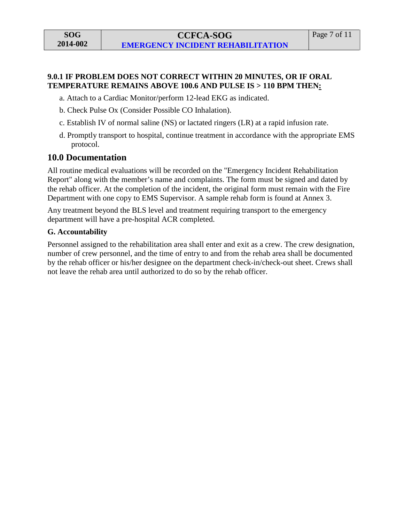#### **9.0.1 IF PROBLEM DOES NOT CORRECT WITHIN 20 MINUTES, OR IF ORAL TEMPERATURE REMAINS ABOVE 100.6 AND PULSE IS > 110 BPM THEN:**

a. Attach to a Cardiac Monitor/perform 12-lead EKG as indicated.

- b. Check Pulse Ox (Consider Possible CO Inhalation).
- c. Establish IV of normal saline (NS) or lactated ringers (LR) at a rapid infusion rate.
- d. Promptly transport to hospital, continue treatment in accordance with the appropriate EMS protocol.

### **10.0 Documentation**

All routine medical evaluations will be recorded on the "Emergency Incident Rehabilitation Report" along with the member's name and complaints. The form must be signed and dated by the rehab officer. At the completion of the incident, the original form must remain with the Fire Department with one copy to EMS Supervisor. A sample rehab form is found at Annex 3.

Any treatment beyond the BLS level and treatment requiring transport to the emergency department will have a pre-hospital ACR completed.

#### **G. Accountability**

Personnel assigned to the rehabilitation area shall enter and exit as a crew. The crew designation, number of crew personnel, and the time of entry to and from the rehab area shall be documented by the rehab officer or his/her designee on the department check-in/check-out sheet. Crews shall not leave the rehab area until authorized to do so by the rehab officer.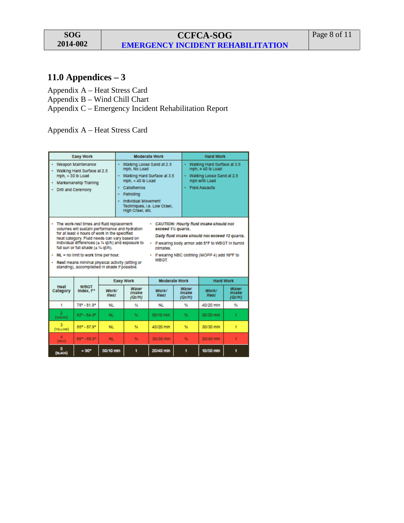# **11.0 Appendices – 3**

Appendix A – Heat Stress Card

Appendix B – Wind Chill Chart

Appendix C – Emergency Incident Rehabilitation Report

Appendix A – Heat Stress Card

|                                                                                                                                                                                                                                                                                                                                                                                                                                                                                                                                                                                                                                                                                                     | <b>Easy Work</b>                                                                                        |                                                 |                                                                                                                                                                  | <b>Moderate Work</b> |                                                                                                                              | <b>Hard Work</b> |                           |  |  |
|-----------------------------------------------------------------------------------------------------------------------------------------------------------------------------------------------------------------------------------------------------------------------------------------------------------------------------------------------------------------------------------------------------------------------------------------------------------------------------------------------------------------------------------------------------------------------------------------------------------------------------------------------------------------------------------------------------|---------------------------------------------------------------------------------------------------------|-------------------------------------------------|------------------------------------------------------------------------------------------------------------------------------------------------------------------|----------------------|------------------------------------------------------------------------------------------------------------------------------|------------------|---------------------------|--|--|
| $mph. < 30$ lb Load                                                                                                                                                                                                                                                                                                                                                                                                                                                                                                                                                                                                                                                                                 | Weapon Maintenance<br>Walking Hard Surface at 2.5<br>Marksmanship Training<br><b>Drill and Ceremony</b> | mph, No Load<br>Calisthenics<br>Patrolling<br>٠ | Walking Loose Sand at 2.5<br>Walking Hard Surface at 3.5<br>mph. $<$ 40 lb Load<br><b>Individual Movement</b><br>Techniques, I.e. Low Crawl,<br>High Crawl, etc. |                      | Walking Hard Surface at 3.5<br>mph, $\geq 40$ lb Load<br>Walking Loose Sand at 2.5<br>mph with Load<br><b>Field Assaults</b> |                  |                           |  |  |
| The work-rest times and fluid replacement<br>· CAUTION: Hourly fluid intake should not<br>volumes will sustain performance and hydration<br>exceed 1% quarts.<br>for at least 4 hours of work in the specified<br>Daily fluid intake should not exceed 12 quarts.<br>heat category. Fluid needs can vary based on<br>Individual differences (± % qt/h) and exposure to<br>If wearing body armor add 5°F to WBGT in humid<br>×.<br>full sun or full shade (± % gt/h).<br>climates<br>NL - no limit to work time per hour.<br>. If wearing NBC clothing (MOPP 4) add 10°F to<br><b>WRGT</b><br>Rest means minimal physical activity (sitting or<br>ä<br>standing), accomplished in shade if possible. |                                                                                                         |                                                 |                                                                                                                                                                  |                      |                                                                                                                              |                  |                           |  |  |
|                                                                                                                                                                                                                                                                                                                                                                                                                                                                                                                                                                                                                                                                                                     |                                                                                                         |                                                 | <b>Easy Work</b>                                                                                                                                                 |                      | <b>Moderate Work</b>                                                                                                         | <b>Hard Work</b> |                           |  |  |
| Heat<br>Category                                                                                                                                                                                                                                                                                                                                                                                                                                                                                                                                                                                                                                                                                    | <b>WRGT</b><br>Index, F°                                                                                | Work/<br>Rest                                   | Water<br>Intake<br>(Qt/H)                                                                                                                                        | Work/<br>Rest        | Water<br>Intake<br>(QUH)                                                                                                     | Work/<br>Rest    | Water<br>Intake<br>(Qt/H) |  |  |
| 1                                                                                                                                                                                                                                                                                                                                                                                                                                                                                                                                                                                                                                                                                                   | 78° - 81.9°                                                                                             | NL                                              | ĸ                                                                                                                                                                | <b>NL</b>            | V                                                                                                                            | 40/20 min        | ₩                         |  |  |
| 2<br>$($ GREEN $)$                                                                                                                                                                                                                                                                                                                                                                                                                                                                                                                                                                                                                                                                                  | $82^{\circ} - 84.9^{\circ}$                                                                             | NL.                                             | 烃                                                                                                                                                                | 50/10 mln            | 骚                                                                                                                            | 30/30 mln        | 1                         |  |  |
| (YELLOW)                                                                                                                                                                                                                                                                                                                                                                                                                                                                                                                                                                                                                                                                                            | $85^{\circ} - 87.9^{\circ}$                                                                             | <b>NL</b>                                       | 驳                                                                                                                                                                | 40/20 mln            | 驿                                                                                                                            | 30/30 mln        | 1                         |  |  |
| Δ<br>(RED)                                                                                                                                                                                                                                                                                                                                                                                                                                                                                                                                                                                                                                                                                          | $88° - 89.9°$                                                                                           | <b>NL</b>                                       | 契                                                                                                                                                                | 30/30 min            | 驳                                                                                                                            | 20/40 mln        | 1                         |  |  |
| 5<br>(BLACK)                                                                                                                                                                                                                                                                                                                                                                                                                                                                                                                                                                                                                                                                                        | $>90^{\circ}$                                                                                           | 50/10 min                                       | 1                                                                                                                                                                | 20/40 min            | 1                                                                                                                            | 10/50 mln        | 1                         |  |  |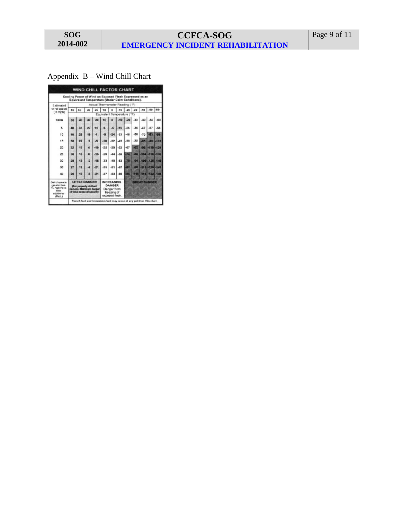**SOG 2014-002**

# **CCFCA-SOG EMERGENCY INCIDENT REHABILITATION**

# Appendix B – Wind Chill Chart

| Actual Thermometer Reading ('F) |    |    |       |                                                                                                          |       |        |       |        |                                                        |                                                                                     |                                                                                                                                                                                                 |
|---------------------------------|----|----|-------|----------------------------------------------------------------------------------------------------------|-------|--------|-------|--------|--------------------------------------------------------|-------------------------------------------------------------------------------------|-------------------------------------------------------------------------------------------------------------------------------------------------------------------------------------------------|
| 50                              | 40 | 30 | 20    | 10 <sub>1</sub>                                                                                          | ٠     |        |       |        |                                                        |                                                                                     |                                                                                                                                                                                                 |
|                                 |    |    |       |                                                                                                          |       |        |       |        |                                                        |                                                                                     |                                                                                                                                                                                                 |
| 58                              |    |    | 96    | 10                                                                                                       |       | $-10$  | $-20$ | $30 -$ | $-40$                                                  | $-80$                                                                               | $-60$                                                                                                                                                                                           |
| 48                              | 37 | 27 | 16    |                                                                                                          | ×     | $-155$ | $-26$ | $-36$  | 47                                                     | $-87$                                                                               | -68                                                                                                                                                                                             |
| 40                              | 28 | 56 |       |                                                                                                          | -24   | $-33$  | -46   | $-58$  | $-70$                                                  | $-851$                                                                              | 206                                                                                                                                                                                             |
| 36                              | 22 |    | А     | $-18$                                                                                                    | $-32$ | $-45$  | -58   | .72    | 45                                                     |                                                                                     |                                                                                                                                                                                                 |
| 32                              | 18 |    | $-10$ | 45                                                                                                       | $-39$ | -53    | -67   |        |                                                        |                                                                                     |                                                                                                                                                                                                 |
| 30                              | 16 | ۰  | $-15$ | $-29$                                                                                                    | $-44$ | $-58$  | -74   |        |                                                        |                                                                                     |                                                                                                                                                                                                 |
| 28                              | 13 | л  | -18   | $-33$                                                                                                    | AR    | -63    | m     |        |                                                        |                                                                                     |                                                                                                                                                                                                 |
| 27                              | 11 | ٠  | -21   | $-38$                                                                                                    | $-81$ | $-87$  | æ     |        |                                                        |                                                                                     |                                                                                                                                                                                                 |
| 24                              | 10 |    | $-21$ | $-37$                                                                                                    | -53   | $-09$  |       |        |                                                        |                                                                                     |                                                                                                                                                                                                 |
|                                 |    |    |       | <b>INCREASING</b><br><b>GREAT DANGER</b><br>DANGER<br>Danger from<br>treazing of<br>expased flesh.       |       |        |       |        |                                                        |                                                                                     |                                                                                                                                                                                                 |
|                                 |    |    |       | <b>LITTLE DANGER</b><br>(For property clothed)<br>person). Maximum danger<br>of false neces of security. |       |        |       |        | WIND CHILL FACTOR CHART<br>Equivalent Temperature ("F) | Equivalent Temperature (Under Calm Conditions).<br>$-10$ $-20$ $-30$ $-40$<br>$-82$ | Cooling Power of Wind on Exposed Flesh Expressed as an<br>$-80$ $-80$<br>44 412<br>46 -110 -124<br><b>GET-BET-BON-BB</b><br>041-1091-1251-140<br><b>AB 1-4136-720-145</b><br>85 400 410 422 440 |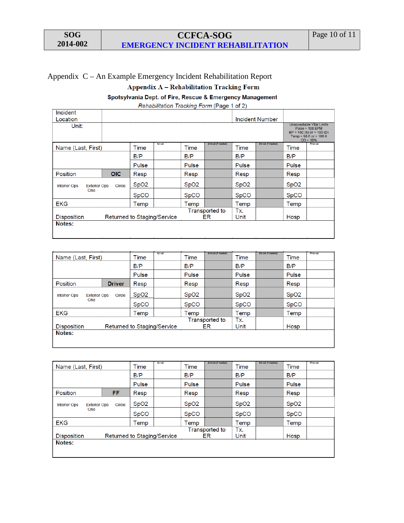## **CCFCA-SOG EMERGENCY INCIDENT REHABILITATION**

## Appendix C – An Example Emergency Incident Rehabilitation ReportAppendix A - Rehabilitation Tracking Form

Spotsylvania Dept. of Fire, Rescue & Emergency Management

Rehabilitation Tracking Form (Page 1 of 2)

| Incident<br>Location                              |            |                  |                             |                  |                     |                  | <b>Incident Number</b> |                  |                                                                                                                       |
|---------------------------------------------------|------------|------------------|-----------------------------|------------------|---------------------|------------------|------------------------|------------------|-----------------------------------------------------------------------------------------------------------------------|
| Unit:                                             |            |                  |                             |                  |                     |                  |                        |                  | Unacceptable Vital Limits<br>$Pulse > 100$ BPM<br>$BP > 160$ (S) or $> 100$ (D)<br>Temp < 98.6 or > 100.6<br>CO > 10% |
| Name (Last, First)                                |            | <b>Time</b>      | 1st set                     | Time             | 2nd set (If needed) | <b>Time</b>      | 3rd set (If needed)    | Time             | Final set                                                                                                             |
|                                                   |            | B/P              |                             | B/P              |                     | B/P              |                        | B/P              |                                                                                                                       |
|                                                   |            | Pulse            |                             | Pulse            |                     | Pulse            |                        | Pulse            |                                                                                                                       |
| Position                                          | <b>OIC</b> | Resp             |                             | Resp             |                     | Resp             |                        | Resp             |                                                                                                                       |
| <b>Exterior Ops</b><br><b>Interior Ops</b>        | Circle     | SpO <sub>2</sub> |                             | SpO <sub>2</sub> |                     | SpO <sub>2</sub> |                        | SpO <sub>2</sub> |                                                                                                                       |
| <b>One</b>                                        |            | <b>SpCO</b>      |                             | <b>SpCO</b>      |                     | <b>SpCO</b>      |                        | <b>SpCO</b>      |                                                                                                                       |
| <b>EKG</b>                                        |            | Temp             |                             | Temp             |                     | Temp             |                        | Temp             |                                                                                                                       |
| Returned to Staging/Service<br><b>Disposition</b> |            |                  | <b>Transported to</b><br>ER |                  | Tx.<br>Unit         |                  | Hosp                   |                  |                                                                                                                       |
| Notes:                                            |            |                  |                             |                  |                     |                  |                        |                  |                                                                                                                       |

| 1st set<br>Time  | Time                        | 2nd set (If needed) | Time                        | 3rd set (If needed) | Time             | Final set |
|------------------|-----------------------------|---------------------|-----------------------------|---------------------|------------------|-----------|
| B/P              | B/P                         |                     | B/P                         |                     | B/P              |           |
| Pulse            | Pulse                       |                     | Pulse                       |                     | Pulse            |           |
| Resp             | Resp                        |                     | Resp                        |                     | Resp             |           |
| SpO <sub>2</sub> | SpO <sub>2</sub>            |                     | SpO <sub>2</sub>            |                     | SpO <sub>2</sub> |           |
| <b>SpCO</b>      | <b>SpCO</b>                 |                     | <b>SpCO</b>                 |                     | <b>SpCO</b>      |           |
| Temp             | Temp                        |                     | Temp                        |                     | Temp             |           |
|                  |                             |                     | Tx.                         |                     |                  |           |
|                  |                             |                     |                             |                     |                  |           |
| Notes:           |                             |                     |                             |                     |                  |           |
|                  |                             |                     |                             |                     |                  |           |
|                  | Returned to Staging/Service |                     | <b>Transported to</b><br>ER | Unit                |                  | Hosp      |

| Name (Last, First)                                          |    | 1st set<br>Time             | Time             | 2nd set (If needed) | Time             | 3rd set (If needed) | Time             | Final set |
|-------------------------------------------------------------|----|-----------------------------|------------------|---------------------|------------------|---------------------|------------------|-----------|
|                                                             |    | B/P                         | B/P              |                     | B/P              |                     | B/P              |           |
|                                                             |    | Pulse                       | Pulse            |                     | Pulse            |                     | Pulse            |           |
| Position                                                    | FF | Resp                        | Resp             |                     | Resp             |                     | Resp             |           |
| <b>Exterior Ops</b><br><b>Interior Ops</b><br>Circle<br>One |    | SpO2                        | SpO <sub>2</sub> |                     | SpO <sub>2</sub> |                     | SpO <sub>2</sub> |           |
|                                                             |    | <b>SpCO</b>                 | <b>SpCO</b>      |                     | <b>SpCO</b>      |                     | <b>SpCO</b>      |           |
| <b>EKG</b>                                                  |    | Temp                        | Temp             |                     | Temp             |                     | Temp             |           |
| Returned to Staging/Service<br><b>Disposition</b>           |    | <b>Transported to</b><br>ER |                  | Tx.<br>Unit         |                  | Hosp                |                  |           |
| Notes:                                                      |    |                             |                  |                     |                  |                     |                  |           |
|                                                             |    |                             |                  |                     |                  |                     |                  |           |